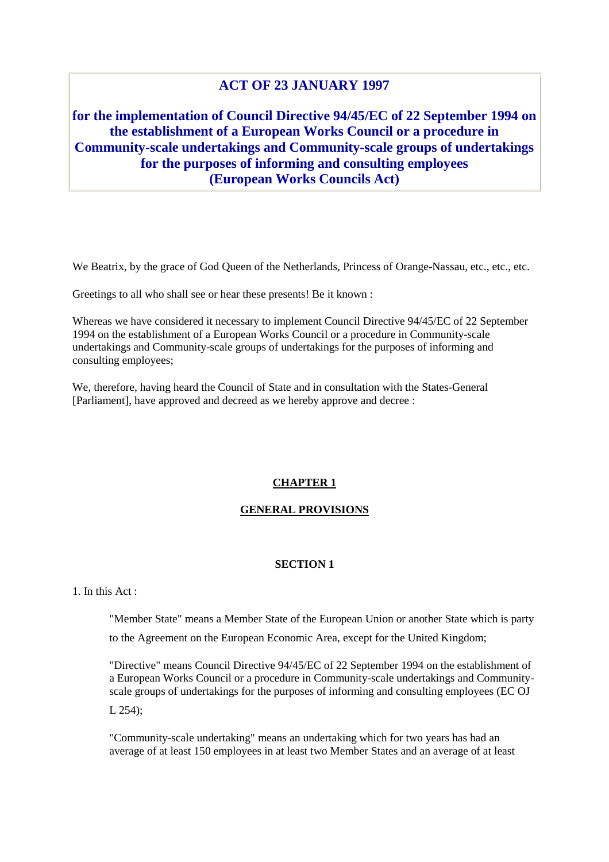# **ACT OF 23 JANUARY 1997**

**for the implementation of Council Directive 94/45/EC of 22 September 1994 on the establishment of a European Works Council or a procedure in Community-scale undertakings and Community-scale groups of undertakings for the purposes of informing and consulting employees (European Works Councils Act)**

We Beatrix, by the grace of God Queen of the Netherlands, Princess of Orange-Nassau, etc., etc., etc.

Greetings to all who shall see or hear these presents! Be it known :

Whereas we have considered it necessary to implement Council Directive 94/45/EC of 22 September 1994 on the establishment of a European Works Council or a procedure in Community-scale undertakings and Community-scale groups of undertakings for the purposes of informing and consulting employees;

We, therefore, having heard the Council of State and in consultation with the States-General [Parliament], have approved and decreed as we hereby approve and decree :

# **CHAPTER 1**

## **GENERAL PROVISIONS**

## **SECTION 1**

## 1. In this  $Act$

"Member State" means a Member State of the European Union or another State which is party to the Agreement on the European Economic Area, except for the United Kingdom;

"Directive" means Council Directive 94/45/EC of 22 September 1994 on the establishment of a European Works Council or a procedure in Community-scale undertakings and Communityscale groups of undertakings for the purposes of informing and consulting employees (EC OJ L 254);

"Community-scale undertaking" means an undertaking which for two years has had an average of at least 150 employees in at least two Member States and an average of at least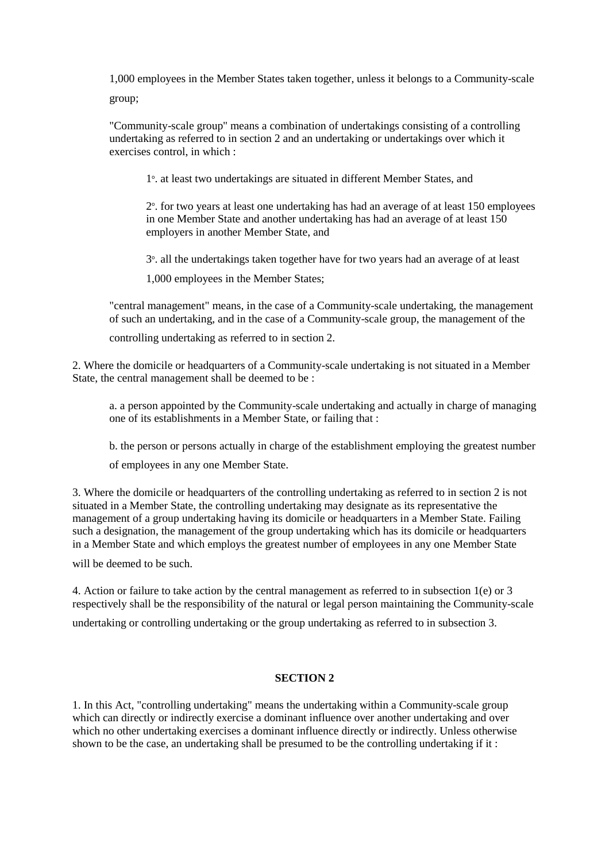1,000 employees in the Member States taken together, unless it belongs to a Community-scale group;

"Community-scale group" means a combination of undertakings consisting of a controlling undertaking as referred to in section 2 and an undertaking or undertakings over which it exercises control, in which :

1°. at least two undertakings are situated in different Member States, and

2°. for two years at least one undertaking has had an average of at least 150 employees in one Member State and another undertaking has had an average of at least 150 employers in another Member State, and

3 o . all the undertakings taken together have for two years had an average of at least

1,000 employees in the Member States;

"central management" means, in the case of a Community-scale undertaking, the management of such an undertaking, and in the case of a Community-scale group, the management of the

controlling undertaking as referred to in section 2.

2. Where the domicile or headquarters of a Community-scale undertaking is not situated in a Member State, the central management shall be deemed to be :

a. a person appointed by the Community-scale undertaking and actually in charge of managing one of its establishments in a Member State, or failing that :

b. the person or persons actually in charge of the establishment employing the greatest number

of employees in any one Member State.

3. Where the domicile or headquarters of the controlling undertaking as referred to in section 2 is not situated in a Member State, the controlling undertaking may designate as its representative the management of a group undertaking having its domicile or headquarters in a Member State. Failing such a designation, the management of the group undertaking which has its domicile or headquarters in a Member State and which employs the greatest number of employees in any one Member State

will be deemed to be such.

4. Action or failure to take action by the central management as referred to in subsection 1(e) or 3 respectively shall be the responsibility of the natural or legal person maintaining the Community-scale undertaking or controlling undertaking or the group undertaking as referred to in subsection 3.

# **SECTION 2**

1. In this Act, "controlling undertaking" means the undertaking within a Community-scale group which can directly or indirectly exercise a dominant influence over another undertaking and over which no other undertaking exercises a dominant influence directly or indirectly. Unless otherwise shown to be the case, an undertaking shall be presumed to be the controlling undertaking if it :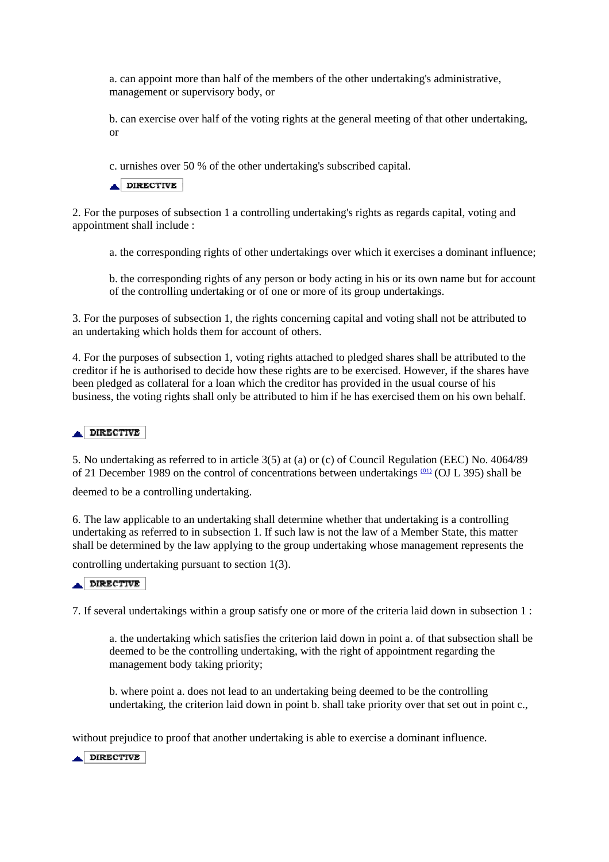a. can appoint more than half of the members of the other undertaking's administrative, management or supervisory body, or

b. can exercise over half of the voting rights at the general meeting of that other undertaking, or

c. urnishes over 50 % of the other undertaking's subscribed capital.

DIRECTIVE

2. For the purposes of subsection 1 a controlling undertaking's rights as regards capital, voting and appointment shall include :

a. the corresponding rights of other undertakings over which it exercises a dominant influence;

b. the corresponding rights of any person or body acting in his or its own name but for account of the controlling undertaking or of one or more of its group undertakings.

3. For the purposes of subsection 1, the rights concerning capital and voting shall not be attributed to an undertaking which holds them for account of others.

4. For the purposes of subsection 1, voting rights attached to pledged shares shall be attributed to the creditor if he is authorised to decide how these rights are to be exercised. However, if the shares have been pledged as collateral for a loan which the creditor has provided in the usual course of his business, the voting rights shall only be attributed to him if he has exercised them on his own behalf.

## DIRECTIVE

5. No undertaking as referred to in article 3(5) at (a) or (c) of Council Regulation (EEC) No. 4064/89 of 21 December 1989 on the control of concentrations between undertakings <sup>(01)</sup> (OJ L 395) shall be

deemed to be a controlling undertaking.

6. The law applicable to an undertaking shall determine whether that undertaking is a controlling undertaking as referred to in subsection 1. If such law is not the law of a Member State, this matter shall be determined by the law applying to the group undertaking whose management represents the

controlling undertaking pursuant to section 1(3).

### DIRECTIVE

7. If several undertakings within a group satisfy one or more of the criteria laid down in subsection 1 :

a. the undertaking which satisfies the criterion laid down in point a. of that subsection shall be deemed to be the controlling undertaking, with the right of appointment regarding the management body taking priority;

b. where point a. does not lead to an undertaking being deemed to be the controlling undertaking, the criterion laid down in point b. shall take priority over that set out in point c.,

without prejudice to proof that another undertaking is able to exercise a dominant influence.

DIRECTIVE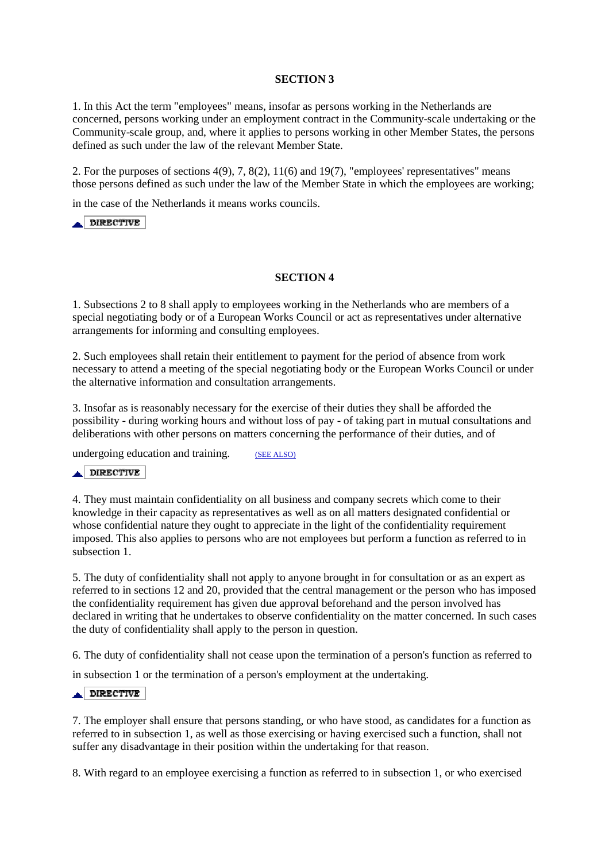## **SECTION 3**

1. In this Act the term "employees" means, insofar as persons working in the Netherlands are concerned, persons working under an employment contract in the Community-scale undertaking or the Community-scale group, and, where it applies to persons working in other Member States, the persons defined as such under the law of the relevant Member State.

2. For the purposes of sections 4(9), 7, 8(2), 11(6) and 19(7), "employees' representatives" means those persons defined as such under the law of the Member State in which the employees are working;

in the case of the Netherlands it means works councils.

 $\overline{\phantom{a}}$  DIRECTIVE

## **SECTION 4**

1. Subsections 2 to 8 shall apply to employees working in the Netherlands who are members of a special negotiating body or of a European Works Council or act as representatives under alternative arrangements for informing and consulting employees.

2. Such employees shall retain their entitlement to payment for the period of absence from work necessary to attend a meeting of the special negotiating body or the European Works Council or under the alternative information and consultation arrangements.

3. Insofar as is reasonably necessary for the exercise of their duties they shall be afforded the possibility - during working hours and without loss of pay - of taking part in mutual consultations and deliberations with other persons on matters concerning the performance of their duties, and of

undergoing education and training. (SEE ALSO)

### DIRECTIVE

4. They must maintain confidentiality on all business and company secrets which come to their knowledge in their capacity as representatives as well as on all matters designated confidential or whose confidential nature they ought to appreciate in the light of the confidentiality requirement imposed. This also applies to persons who are not employees but perform a function as referred to in subsection 1.

5. The duty of confidentiality shall not apply to anyone brought in for consultation or as an expert as referred to in sections 12 and 20, provided that the central management or the person who has imposed the confidentiality requirement has given due approval beforehand and the person involved has declared in writing that he undertakes to observe confidentiality on the matter concerned. In such cases the duty of confidentiality shall apply to the person in question.

6. The duty of confidentiality shall not cease upon the termination of a person's function as referred to

in subsection 1 or the termination of a person's employment at the undertaking.

#### **DIRECTIVE** ᇫ

7. The employer shall ensure that persons standing, or who have stood, as candidates for a function as referred to in subsection 1, as well as those exercising or having exercised such a function, shall not suffer any disadvantage in their position within the undertaking for that reason.

8. With regard to an employee exercising a function as referred to in subsection 1, or who exercised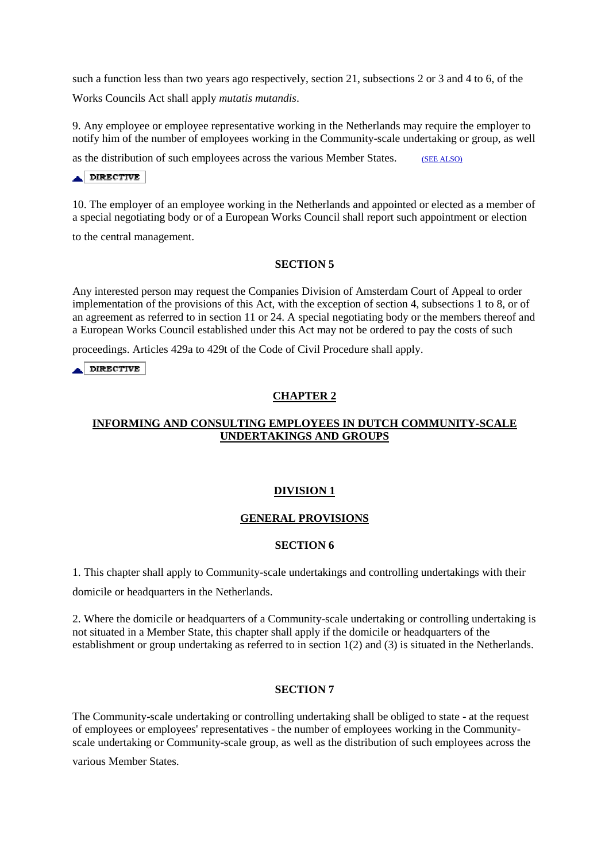such a function less than two years ago respectively, section 21, subsections 2 or 3 and 4 to 6, of the

Works Councils Act shall apply *mutatis mutandis*.

9. Any employee or employee representative working in the Netherlands may require the employer to notify him of the number of employees working in the Community-scale undertaking or group, as well

as the distribution of such employees across the various Member States. (SEE ALSO)

# DIRECTIVE

10. The employer of an employee working in the Netherlands and appointed or elected as a member of a special negotiating body or of a European Works Council shall report such appointment or election

to the central management.

## **SECTION 5**

Any interested person may request the Companies Division of Amsterdam Court of Appeal to order implementation of the provisions of this Act, with the exception of section 4, subsections 1 to 8, or of an agreement as referred to in section 11 or 24. A special negotiating body or the members thereof and a European Works Council established under this Act may not be ordered to pay the costs of such

proceedings. Articles 429a to 429t of the Code of Civil Procedure shall apply.

**DIRECTIVE** 

# **CHAPTER 2**

# **INFORMING AND CONSULTING EMPLOYEES IN DUTCH COMMUNITY-SCALE UNDERTAKINGS AND GROUPS**

## **DIVISION 1**

## **GENERAL PROVISIONS**

## **SECTION 6**

1. This chapter shall apply to Community-scale undertakings and controlling undertakings with their

domicile or headquarters in the Netherlands.

2. Where the domicile or headquarters of a Community-scale undertaking or controlling undertaking is not situated in a Member State, this chapter shall apply if the domicile or headquarters of the establishment or group undertaking as referred to in section 1(2) and (3) is situated in the Netherlands.

## **SECTION 7**

The Community-scale undertaking or controlling undertaking shall be obliged to state - at the request of employees or employees' representatives - the number of employees working in the Communityscale undertaking or Community-scale group, as well as the distribution of such employees across the

various Member States.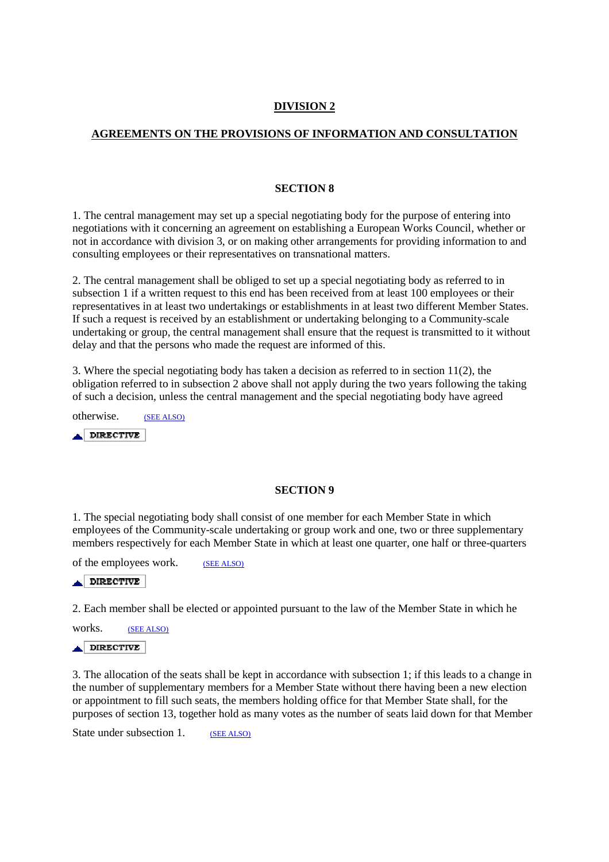# **DIVISION 2**

# **AGREEMENTS ON THE PROVISIONS OF INFORMATION AND CONSULTATION**

## **SECTION 8**

1. The central management may set up a special negotiating body for the purpose of entering into negotiations with it concerning an agreement on establishing a European Works Council, whether or not in accordance with division 3, or on making other arrangements for providing information to and consulting employees or their representatives on transnational matters.

2. The central management shall be obliged to set up a special negotiating body as referred to in subsection 1 if a written request to this end has been received from at least 100 employees or their representatives in at least two undertakings or establishments in at least two different Member States. If such a request is received by an establishment or undertaking belonging to a Community-scale undertaking or group, the central management shall ensure that the request is transmitted to it without delay and that the persons who made the request are informed of this.

3. Where the special negotiating body has taken a decision as referred to in section 11(2), the obligation referred to in subsection 2 above shall not apply during the two years following the taking of such a decision, unless the central management and the special negotiating body have agreed

otherwise. (SEE ALSO) آتم **DIRECTIVE** 

# **SECTION 9**

1. The special negotiating body shall consist of one member for each Member State in which employees of the Community-scale undertaking or group work and one, two or three supplementary members respectively for each Member State in which at least one quarter, one half or three-quarters

of the employees work. (SEE ALSO)

DIRECTIVE

2. Each member shall be elected or appointed pursuant to the law of the Member State in which he

works. (SEE ALSO) **DIRECTIVE** الم

3. The allocation of the seats shall be kept in accordance with subsection 1; if this leads to a change in the number of supplementary members for a Member State without there having been a new election or appointment to fill such seats, the members holding office for that Member State shall, for the purposes of section 13, together hold as many votes as the number of seats laid down for that Member

State under subsection 1. (SEE ALSO)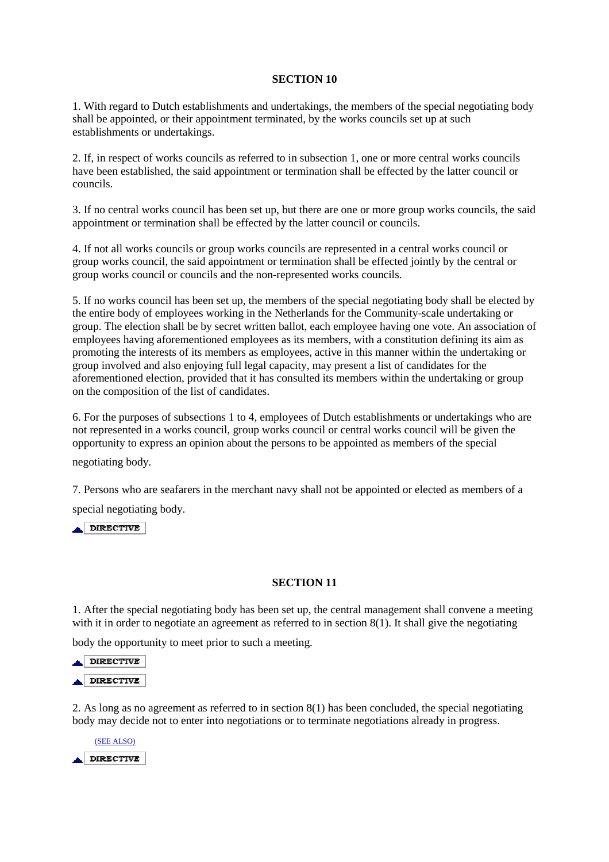## **SECTION 10**

1. With regard to Dutch establishments and undertakings, the members of the special negotiating body shall be appointed, or their appointment terminated, by the works councils set up at such establishments or undertakings.

2. If, in respect of works councils as referred to in subsection 1, one or more central works councils have been established, the said appointment or termination shall be effected by the latter council or councils.

3. If no central works council has been set up, but there are one or more group works councils, the said appointment or termination shall be effected by the latter council or councils.

4. If not all works councils or group works councils are represented in a central works council or group works council, the said appointment or termination shall be effected jointly by the central or group works council or councils and the non-represented works councils.

5. If no works council has been set up, the members of the special negotiating body shall be elected by the entire body of employees working in the Netherlands for the Community-scale undertaking or group. The election shall be by secret written ballot, each employee having one vote. An association of employees having aforementioned employees as its members, with a constitution defining its aim as promoting the interests of its members as employees, active in this manner within the undertaking or group involved and also enjoying full legal capacity, may present a list of candidates for the aforementioned election, provided that it has consulted its members within the undertaking or group on the composition of the list of candidates.

6. For the purposes of subsections 1 to 4, employees of Dutch establishments or undertakings who are not represented in a works council, group works council or central works council will be given the opportunity to express an opinion about the persons to be appointed as members of the special

negotiating body.

7. Persons who are seafarers in the merchant navy shall not be appointed or elected as members of a special negotiating body.

 $\triangle$  DIRECTIVE

## **SECTION 11**

1. After the special negotiating body has been set up, the central management shall convene a meeting with it in order to negotiate an agreement as referred to in section 8(1). It shall give the negotiating

body the opportunity to meet prior to such a meeting.



2. As long as no agreement as referred to in section 8(1) has been concluded, the special negotiating body may decide not to enter into negotiations or to terminate negotiations already in progress.

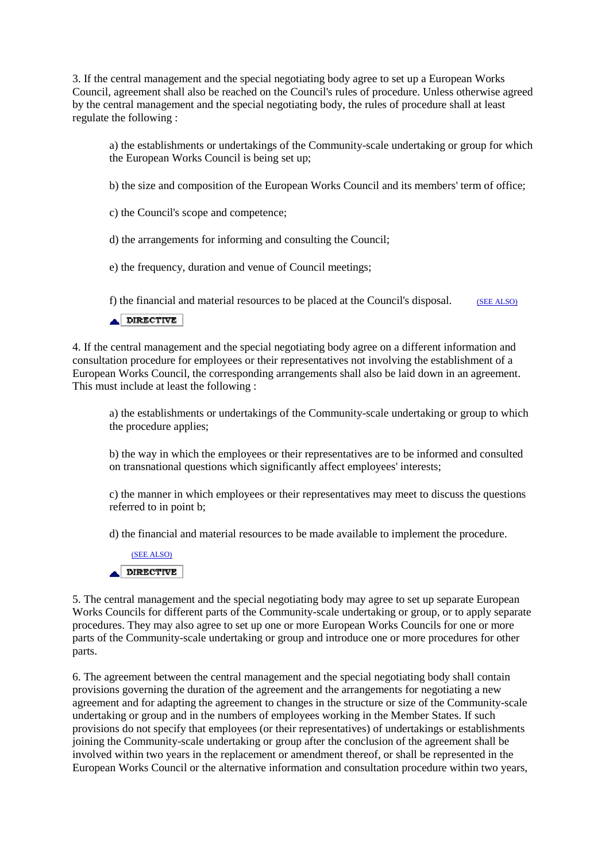3. If the central management and the special negotiating body agree to set up a European Works Council, agreement shall also be reached on the Council's rules of procedure. Unless otherwise agreed by the central management and the special negotiating body, the rules of procedure shall at least regulate the following :

a) the establishments or undertakings of the Community-scale undertaking or group for which the European Works Council is being set up;

b) the size and composition of the European Works Council and its members' term of office;

c) the Council's scope and competence;

d) the arrangements for informing and consulting the Council;

e) the frequency, duration and venue of Council meetings;

f) the financial and material resources to be placed at the Council's disposal.  $(SEE ALSO)$ 

 $\triangle$ DIRECTIVE

4. If the central management and the special negotiating body agree on a different information and consultation procedure for employees or their representatives not involving the establishment of a European Works Council, the corresponding arrangements shall also be laid down in an agreement. This must include at least the following :

a) the establishments or undertakings of the Community-scale undertaking or group to which the procedure applies;

b) the way in which the employees or their representatives are to be informed and consulted on transnational questions which significantly affect employees' interests;

c) the manner in which employees or their representatives may meet to discuss the questions referred to in point b;

d) the financial and material resources to be made available to implement the procedure.



5. The central management and the special negotiating body may agree to set up separate European Works Councils for different parts of the Community-scale undertaking or group, or to apply separate procedures. They may also agree to set up one or more European Works Councils for one or more parts of the Community-scale undertaking or group and introduce one or more procedures for other parts.

6. The agreement between the central management and the special negotiating body shall contain provisions governing the duration of the agreement and the arrangements for negotiating a new agreement and for adapting the agreement to changes in the structure or size of the Community-scale undertaking or group and in the numbers of employees working in the Member States. If such provisions do not specify that employees (or their representatives) of undertakings or establishments joining the Community-scale undertaking or group after the conclusion of the agreement shall be involved within two years in the replacement or amendment thereof, or shall be represented in the European Works Council or the alternative information and consultation procedure within two years,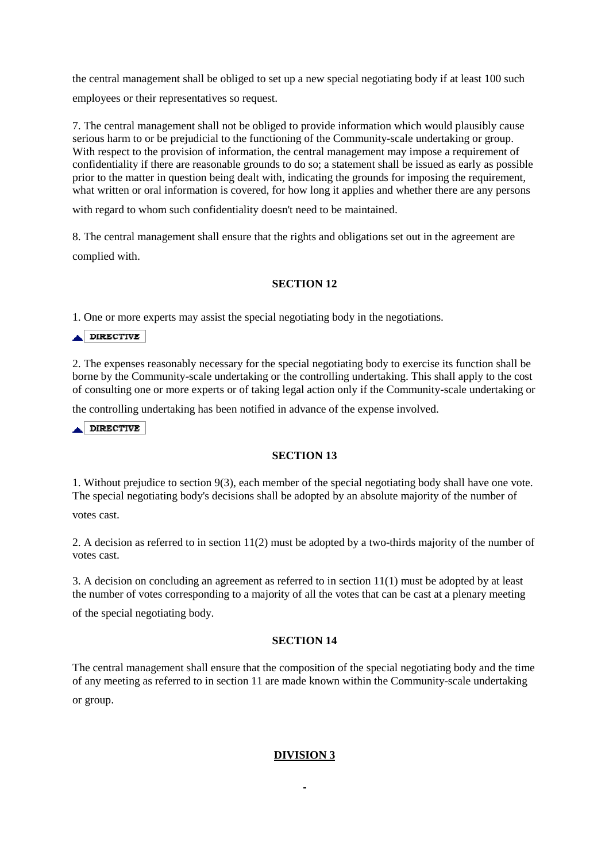the central management shall be obliged to set up a new special negotiating body if at least 100 such employees or their representatives so request.

7. The central management shall not be obliged to provide information which would plausibly cause serious harm to or be prejudicial to the functioning of the Community-scale undertaking or group. With respect to the provision of information, the central management may impose a requirement of confidentiality if there are reasonable grounds to do so; a statement shall be issued as early as possible prior to the matter in question being dealt with, indicating the grounds for imposing the requirement, what written or oral information is covered, for how long it applies and whether there are any persons

with regard to whom such confidentiality doesn't need to be maintained.

8. The central management shall ensure that the rights and obligations set out in the agreement are complied with.

# **SECTION 12**

1. One or more experts may assist the special negotiating body in the negotiations.

DIRECTIVE

2. The expenses reasonably necessary for the special negotiating body to exercise its function shall be borne by the Community-scale undertaking or the controlling undertaking. This shall apply to the cost of consulting one or more experts or of taking legal action only if the Community-scale undertaking or

the controlling undertaking has been notified in advance of the expense involved.

DIRECTIVE

# **SECTION 13**

1. Without prejudice to section 9(3), each member of the special negotiating body shall have one vote. The special negotiating body's decisions shall be adopted by an absolute majority of the number of

votes cast.

2. A decision as referred to in section 11(2) must be adopted by a two-thirds majority of the number of votes cast.

3. A decision on concluding an agreement as referred to in section 11(1) must be adopted by at least the number of votes corresponding to a majority of all the votes that can be cast at a plenary meeting

of the special negotiating body.

## **SECTION 14**

The central management shall ensure that the composition of the special negotiating body and the time of any meeting as referred to in section 11 are made known within the Community-scale undertaking or group.

# **DIVISION 3**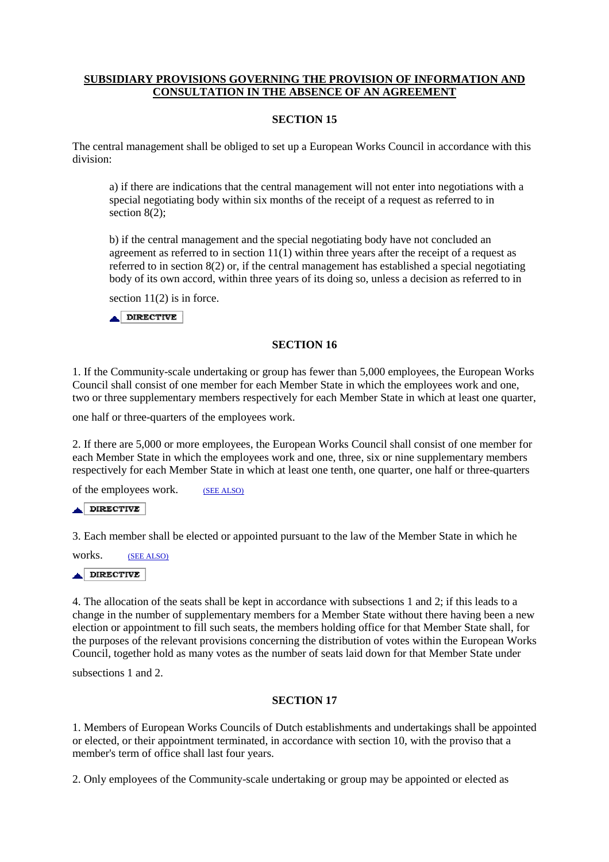# **SUBSIDIARY PROVISIONS GOVERNING THE PROVISION OF INFORMATION AND CONSULTATION IN THE ABSENCE OF AN AGREEMENT**

## **SECTION 15**

The central management shall be obliged to set up a European Works Council in accordance with this division:

a) if there are indications that the central management will not enter into negotiations with a special negotiating body within six months of the receipt of a request as referred to in section 8(2):

b) if the central management and the special negotiating body have not concluded an agreement as referred to in section  $11(1)$  within three years after the receipt of a request as referred to in section 8(2) or, if the central management has established a special negotiating body of its own accord, within three years of its doing so, unless a decision as referred to in

section  $11(2)$  is in force.

 $\triangle$ DIRECTIVE

## **SECTION 16**

1. If the Community-scale undertaking or group has fewer than 5,000 employees, the European Works Council shall consist of one member for each Member State in which the employees work and one, two or three supplementary members respectively for each Member State in which at least one quarter,

one half or three-quarters of the employees work.

2. If there are 5,000 or more employees, the European Works Council shall consist of one member for each Member State in which the employees work and one, three, six or nine supplementary members respectively for each Member State in which at least one tenth, one quarter, one half or three-quarters

of the employees work. (SEE ALSO)

 $\triangle$  DIRECTIVE

3. Each member shall be elected or appointed pursuant to the law of the Member State in which he

works. (SEE ALSO)

 $\triangle$ DIRECTIVE

4. The allocation of the seats shall be kept in accordance with subsections 1 and 2; if this leads to a change in the number of supplementary members for a Member State without there having been a new election or appointment to fill such seats, the members holding office for that Member State shall, for the purposes of the relevant provisions concerning the distribution of votes within the European Works Council, together hold as many votes as the number of seats laid down for that Member State under

subsections 1 and 2.

## **SECTION 17**

1. Members of European Works Councils of Dutch establishments and undertakings shall be appointed or elected, or their appointment terminated, in accordance with section 10, with the proviso that a member's term of office shall last four years.

2. Only employees of the Community-scale undertaking or group may be appointed or elected as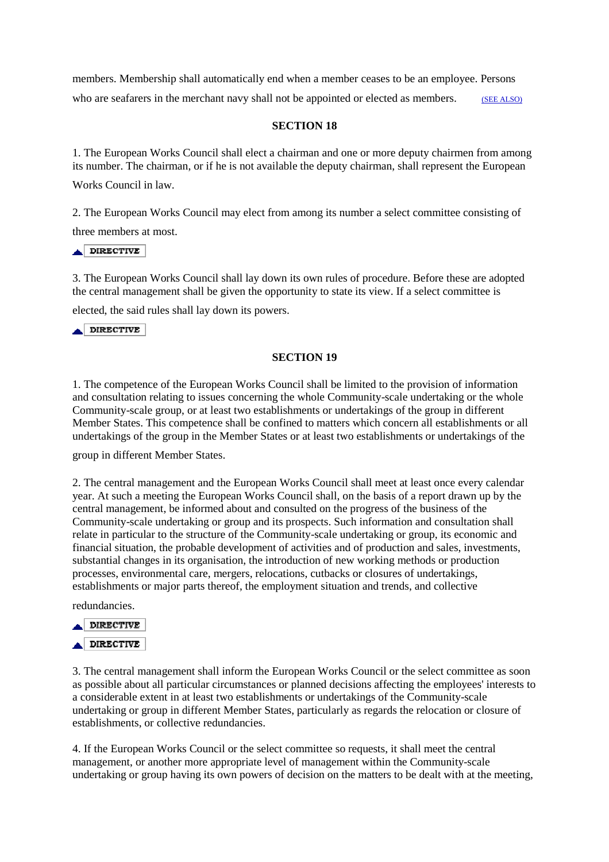members. Membership shall automatically end when a member ceases to be an employee. Persons who are seafarers in the merchant navy shall not be appointed or elected as members. (SEE ALSO)

## **SECTION 18**

1. The European Works Council shall elect a chairman and one or more deputy chairmen from among its number. The chairman, or if he is not available the deputy chairman, shall represent the European

Works Council in law.

2. The European Works Council may elect from among its number a select committee consisting of

three members at most.

## DIRECTIVE

3. The European Works Council shall lay down its own rules of procedure. Before these are adopted the central management shall be given the opportunity to state its view. If a select committee is

elected, the said rules shall lay down its powers.

 $\triangle$  DIRECTIVE

## **SECTION 19**

1. The competence of the European Works Council shall be limited to the provision of information and consultation relating to issues concerning the whole Community-scale undertaking or the whole Community-scale group, or at least two establishments or undertakings of the group in different Member States. This competence shall be confined to matters which concern all establishments or all undertakings of the group in the Member States or at least two establishments or undertakings of the

group in different Member States.

2. The central management and the European Works Council shall meet at least once every calendar year. At such a meeting the European Works Council shall, on the basis of a report drawn up by the central management, be informed about and consulted on the progress of the business of the Community-scale undertaking or group and its prospects. Such information and consultation shall relate in particular to the structure of the Community-scale undertaking or group, its economic and financial situation, the probable development of activities and of production and sales, investments, substantial changes in its organisation, the introduction of new working methods or production processes, environmental care, mergers, relocations, cutbacks or closures of undertakings, establishments or major parts thereof, the employment situation and trends, and collective

redundancies.



3. The central management shall inform the European Works Council or the select committee as soon as possible about all particular circumstances or planned decisions affecting the employees' interests to a considerable extent in at least two establishments or undertakings of the Community-scale undertaking or group in different Member States, particularly as regards the relocation or closure of establishments, or collective redundancies.

4. If the European Works Council or the select committee so requests, it shall meet the central management, or another more appropriate level of management within the Community-scale undertaking or group having its own powers of decision on the matters to be dealt with at the meeting,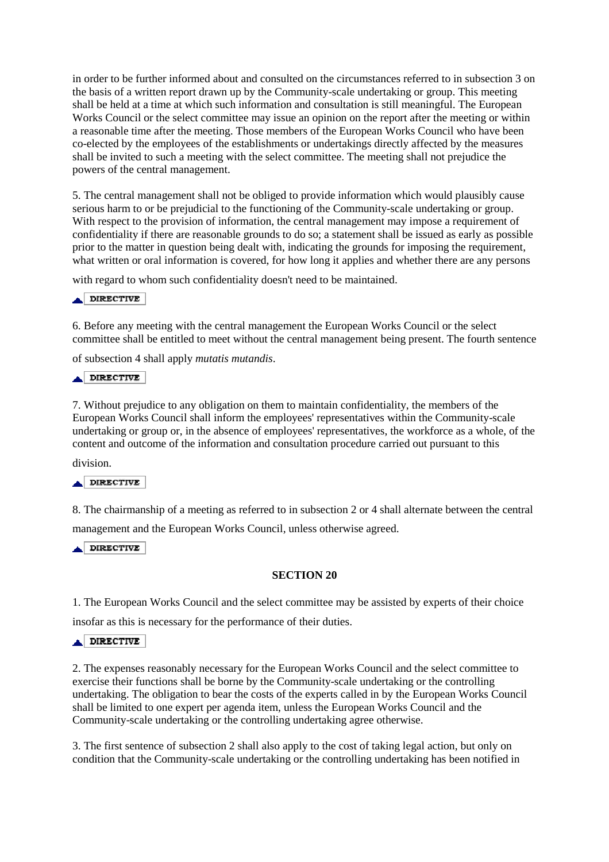in order to be further informed about and consulted on the circumstances referred to in subsection 3 on the basis of a written report drawn up by the Community-scale undertaking or group. This meeting shall be held at a time at which such information and consultation is still meaningful. The European Works Council or the select committee may issue an opinion on the report after the meeting or within a reasonable time after the meeting. Those members of the European Works Council who have been co-elected by the employees of the establishments or undertakings directly affected by the measures shall be invited to such a meeting with the select committee. The meeting shall not prejudice the powers of the central management.

5. The central management shall not be obliged to provide information which would plausibly cause serious harm to or be prejudicial to the functioning of the Community-scale undertaking or group. With respect to the provision of information, the central management may impose a requirement of confidentiality if there are reasonable grounds to do so; a statement shall be issued as early as possible prior to the matter in question being dealt with, indicating the grounds for imposing the requirement, what written or oral information is covered, for how long it applies and whether there are any persons

with regard to whom such confidentiality doesn't need to be maintained.

### DIRECTIVE

6. Before any meeting with the central management the European Works Council or the select committee shall be entitled to meet without the central management being present. The fourth sentence

of subsection 4 shall apply *mutatis mutandis*.

#### **DIRECTIVE** الم

7. Without prejudice to any obligation on them to maintain confidentiality, the members of the European Works Council shall inform the employees' representatives within the Community-scale undertaking or group or, in the absence of employees' representatives, the workforce as a whole, of the content and outcome of the information and consultation procedure carried out pursuant to this

division.

# $\triangle$ DIRECTIVE

8. The chairmanship of a meeting as referred to in subsection 2 or 4 shall alternate between the central

management and the European Works Council, unless otherwise agreed.

DIRECTIVE

## **SECTION 20**

1. The European Works Council and the select committee may be assisted by experts of their choice

insofar as this is necessary for the performance of their duties.

### $\blacktriangle$  DIRECTIVE

2. The expenses reasonably necessary for the European Works Council and the select committee to exercise their functions shall be borne by the Community-scale undertaking or the controlling undertaking. The obligation to bear the costs of the experts called in by the European Works Council shall be limited to one expert per agenda item, unless the European Works Council and the Community-scale undertaking or the controlling undertaking agree otherwise.

3. The first sentence of subsection 2 shall also apply to the cost of taking legal action, but only on condition that the Community-scale undertaking or the controlling undertaking has been notified in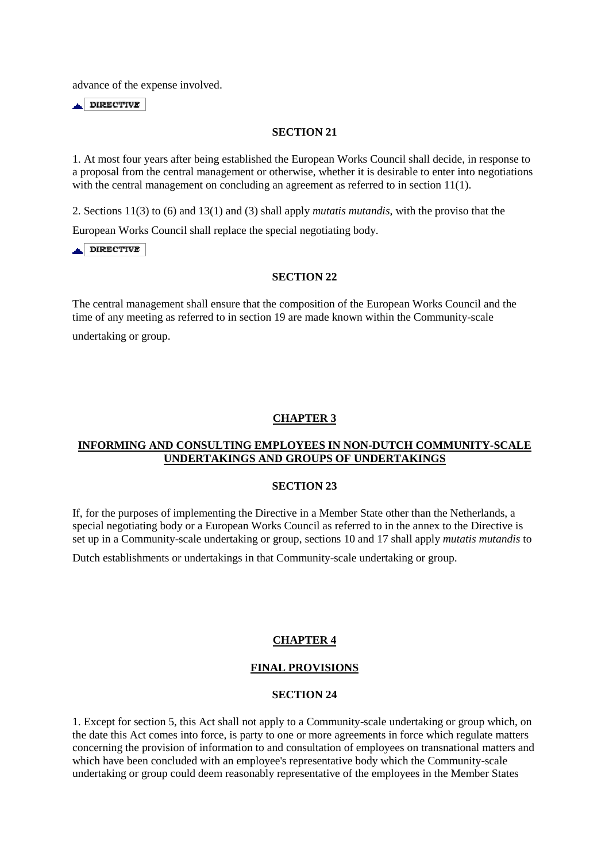advance of the expense involved.

 $\triangle$  DIRECTIVE

#### **SECTION 21**

1. At most four years after being established the European Works Council shall decide, in response to a proposal from the central management or otherwise, whether it is desirable to enter into negotiations with the central management on concluding an agreement as referred to in section 11(1).

2. Sections 11(3) to (6) and 13(1) and (3) shall apply *mutatis mutandis*, with the proviso that the

European Works Council shall replace the special negotiating body.

 $\triangle$  DIRECTIVE

## **SECTION 22**

The central management shall ensure that the composition of the European Works Council and the time of any meeting as referred to in section 19 are made known within the Community-scale

undertaking or group.

## **CHAPTER 3**

# **INFORMING AND CONSULTING EMPLOYEES IN NON-DUTCH COMMUNITY-SCALE UNDERTAKINGS AND GROUPS OF UNDERTAKINGS**

#### **SECTION 23**

If, for the purposes of implementing the Directive in a Member State other than the Netherlands, a special negotiating body or a European Works Council as referred to in the annex to the Directive is set up in a Community-scale undertaking or group, sections 10 and 17 shall apply *mutatis mutandis* to

Dutch establishments or undertakings in that Community-scale undertaking or group.

## **CHAPTER 4**

## **FINAL PROVISIONS**

## **SECTION 24**

1. Except for section 5, this Act shall not apply to a Community-scale undertaking or group which, on the date this Act comes into force, is party to one or more agreements in force which regulate matters concerning the provision of information to and consultation of employees on transnational matters and which have been concluded with an employee's representative body which the Community-scale undertaking or group could deem reasonably representative of the employees in the Member States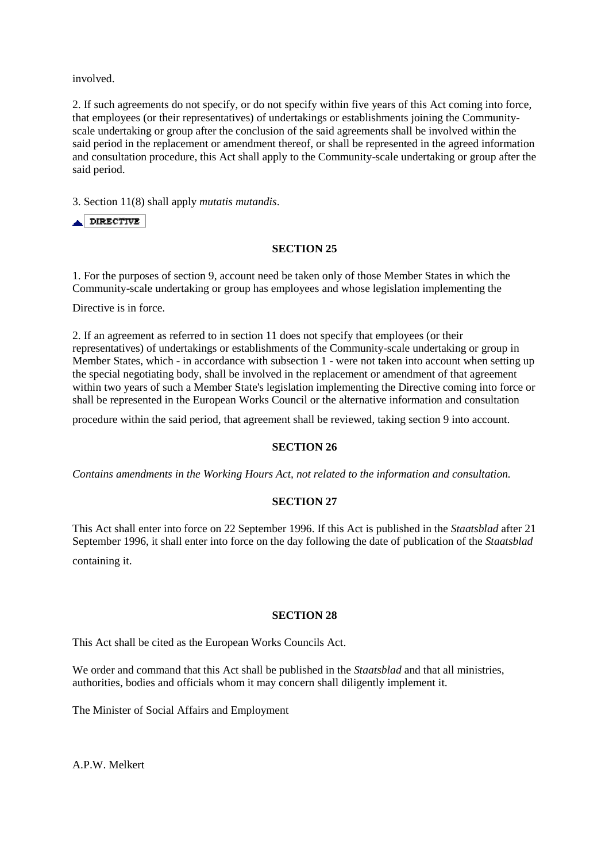involved.

2. If such agreements do not specify, or do not specify within five years of this Act coming into force, that employees (or their representatives) of undertakings or establishments joining the Communityscale undertaking or group after the conclusion of the said agreements shall be involved within the said period in the replacement or amendment thereof, or shall be represented in the agreed information and consultation procedure, this Act shall apply to the Community-scale undertaking or group after the said period.

3. Section 11(8) shall apply *mutatis mutandis*.

 $\blacktriangle$  DIRECTIVE

## **SECTION 25**

1. For the purposes of section 9, account need be taken only of those Member States in which the Community-scale undertaking or group has employees and whose legislation implementing the

Directive is in force.

2. If an agreement as referred to in section 11 does not specify that employees (or their representatives) of undertakings or establishments of the Community-scale undertaking or group in Member States, which - in accordance with subsection 1 - were not taken into account when setting up the special negotiating body, shall be involved in the replacement or amendment of that agreement within two years of such a Member State's legislation implementing the Directive coming into force or shall be represented in the European Works Council or the alternative information and consultation

procedure within the said period, that agreement shall be reviewed, taking section 9 into account.

## **SECTION 26**

*Contains amendments in the Working Hours Act, not related to the information and consultation.* 

## **SECTION 27**

This Act shall enter into force on 22 September 1996. If this Act is published in the *Staatsblad* after 21 September 1996, it shall enter into force on the day following the date of publication of the *Staatsblad* containing it.

## **SECTION 28**

This Act shall be cited as the European Works Councils Act.

We order and command that this Act shall be published in the *Staatsblad* and that all ministries, authorities, bodies and officials whom it may concern shall diligently implement it.

The Minister of Social Affairs and Employment

A.P.W. Melkert